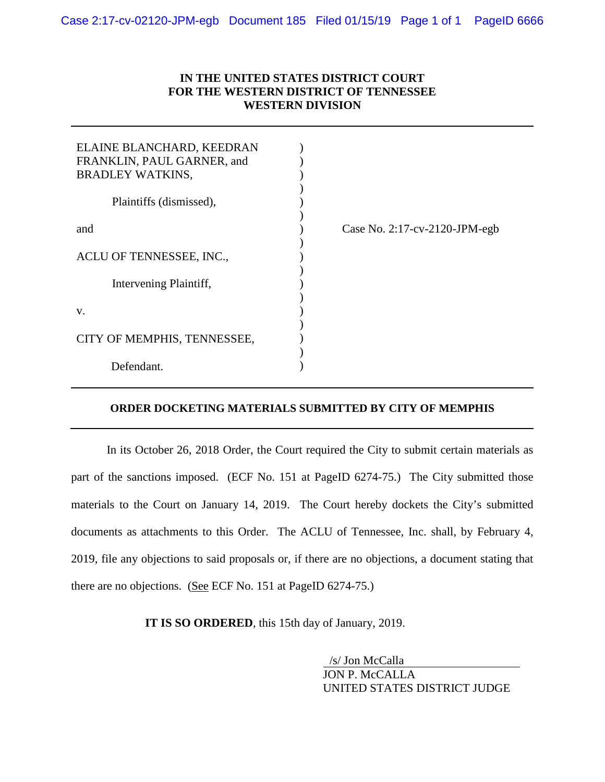#### **IN THE UNITED STATES DISTRICT COURT FOR THE WESTERN DISTRICT OF TENNESSEE WESTERN DIVISION**

| ELAINE BLANCHARD, KEEDRAN<br>FRANKLIN, PAUL GARNER, and<br><b>BRADLEY WATKINS,</b> |                                      |
|------------------------------------------------------------------------------------|--------------------------------------|
| Plaintiffs (dismissed),                                                            |                                      |
| and                                                                                | Case No. $2:17$ -cv- $2120$ -JPM-egb |
| ACLU OF TENNESSEE, INC.,                                                           |                                      |
| Intervening Plaintiff,                                                             |                                      |
| V.                                                                                 |                                      |
| CITY OF MEMPHIS, TENNESSEE,                                                        |                                      |
| Defendant.                                                                         |                                      |

#### **ORDER DOCKETING MATERIALS SUBMITTED BY CITY OF MEMPHIS**

In its October 26, 2018 Order, the Court required the City to submit certain materials as part of the sanctions imposed. (ECF No. 151 at PageID 6274-75.) The City submitted those materials to the Court on January 14, 2019. The Court hereby dockets the City's submitted documents as attachments to this Order. The ACLU of Tennessee, Inc. shall, by February 4, 2019, file any objections to said proposals or, if there are no objections, a document stating that there are no objections. (See ECF No. 151 at PageID 6274-75.)

**IT IS SO ORDERED**, this 15th day of January, 2019.

/s/ Jon McCalla JON P. McCALLA UNITED STATES DISTRICT JUDGE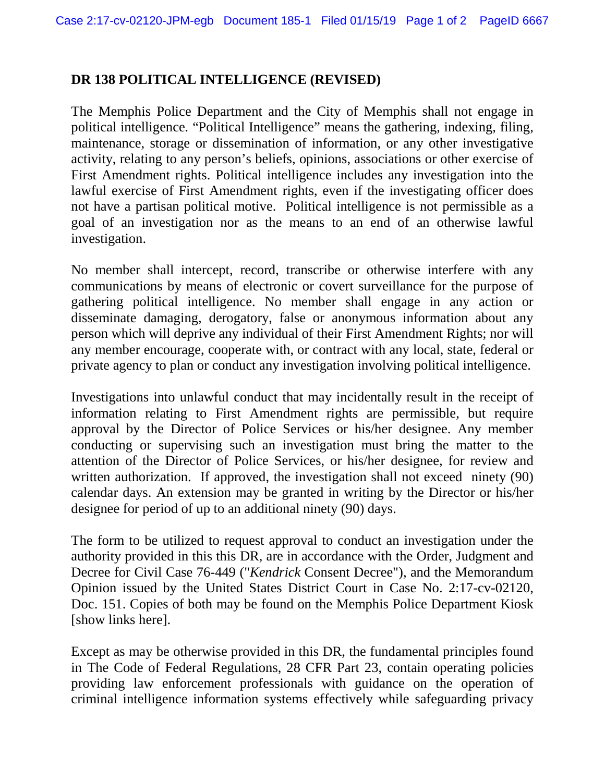#### **DR 138 POLITICAL INTELLIGENCE (REVISED)**

The Memphis Police Department and the City of Memphis shall not engage in political intelligence*.* "Political Intelligence" means the gathering, indexing, filing, maintenance, storage or dissemination of information, or any other investigative activity, relating to any person's beliefs, opinions, associations or other exercise of First Amendment rights. Political intelligence includes any investigation into the lawful exercise of First Amendment rights, even if the investigating officer does not have a partisan political motive. Political intelligence is not permissible as a goal of an investigation nor as the means to an end of an otherwise lawful investigation.

No member shall intercept, record, transcribe or otherwise interfere with any communications by means of electronic or covert surveillance for the purpose of gathering political intelligence. No member shall engage in any action or disseminate damaging, derogatory, false or anonymous information about any person which will deprive any individual of their First Amendment Rights; nor will any member encourage, cooperate with, or contract with any local, state, federal or private agency to plan or conduct any investigation involving political intelligence.

Investigations into unlawful conduct that may incidentally result in the receipt of information relating to First Amendment rights are permissible, but require approval by the Director of Police Services or his/her designee. Any member conducting or supervising such an investigation must bring the matter to the attention of the Director of Police Services, or his/her designee, for review and written authorization. If approved, the investigation shall not exceed ninety (90) calendar days. An extension may be granted in writing by the Director or his/her designee for period of up to an additional ninety (90) days.

The form to be utilized to request approval to conduct an investigation under the authority provided in this this DR, are in accordance with the Order, Judgment and Decree for Civil Case 76-449 ("*Kendrick* Consent Decree"), and the Memorandum Opinion issued by the United States District Court in Case No. 2:17-cv-02120, Doc. 151. Copies of both may be found on the Memphis Police Department Kiosk [show links here].

Except as may be otherwise provided in this DR, the fundamental principles found in The Code of Federal Regulations, 28 CFR Part 23, contain operating policies providing law enforcement professionals with guidance on the operation of criminal intelligence information systems effectively while safeguarding privacy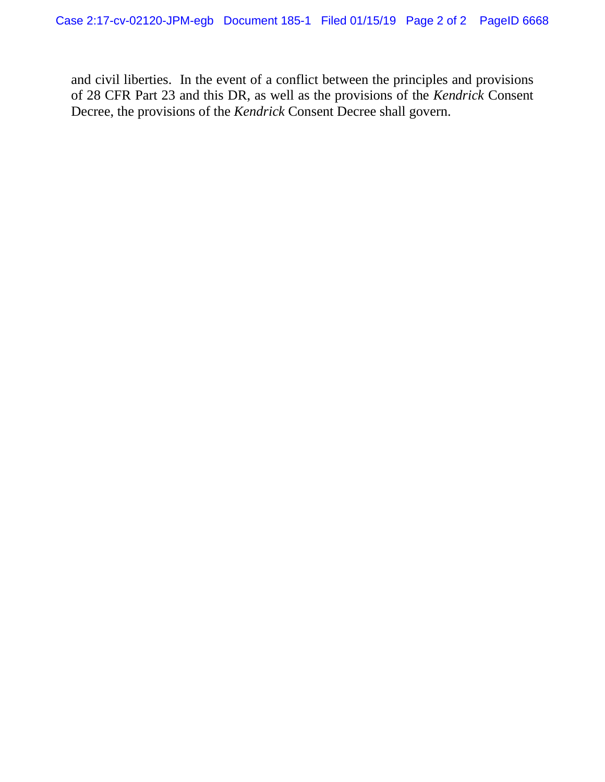and civil liberties. In the event of a conflict between the principles and provisions of 28 CFR Part 23 and this DR, as well as the provisions of the *Kendrick* Consent Decree, the provisions of the *Kendrick* Consent Decree shall govern.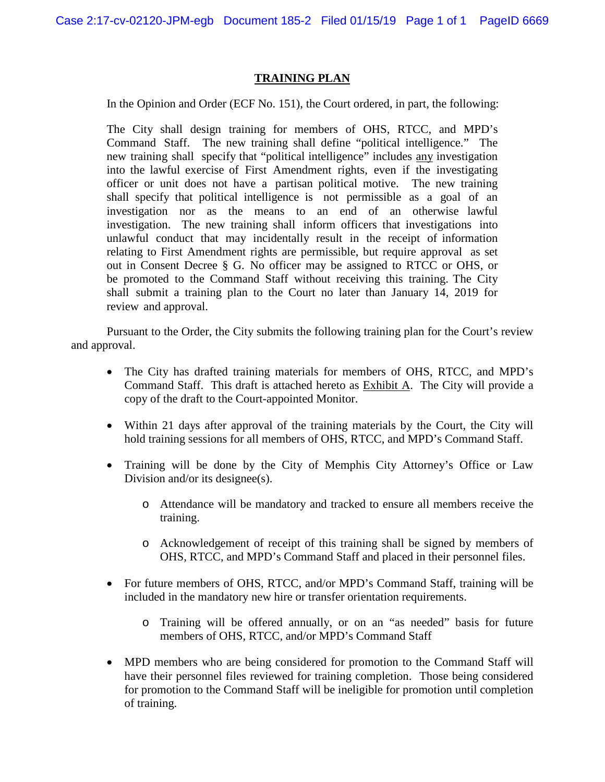#### **TRAINING PLAN**

In the Opinion and Order (ECF No. 151), the Court ordered, in part, the following:

The City shall design training for members of OHS, RTCC, and MPD's Command Staff. The new training shall define "political intelligence." The new training shall specify that "political intelligence" includes any investigation into the lawful exercise of First Amendment rights, even if the investigating officer or unit does not have a partisan political motive. The new training shall specify that political intelligence is not permissible as a goal of an investigation nor as the means to an end of an otherwise lawful investigation. The new training shall inform officers that investigations into unlawful conduct that may incidentally result in the receipt of information relating to First Amendment rights are permissible, but require approval as set out in Consent Decree § G. No officer may be assigned to RTCC or OHS, or be promoted to the Command Staff without receiving this training. The City shall submit a training plan to the Court no later than January 14, 2019 for review and approval.

Pursuant to the Order, the City submits the following training plan for the Court's review and approval.

- The City has drafted training materials for members of OHS, RTCC, and MPD's Command Staff. This draft is attached hereto as Exhibit A. The City will provide a copy of the draft to the Court-appointed Monitor.
- Within 21 days after approval of the training materials by the Court, the City will hold training sessions for all members of OHS, RTCC, and MPD's Command Staff.
- Training will be done by the City of Memphis City Attorney's Office or Law Division and/or its designee(s).
	- o Attendance will be mandatory and tracked to ensure all members receive the training.
	- o Acknowledgement of receipt of this training shall be signed by members of OHS, RTCC, and MPD's Command Staff and placed in their personnel files.
- For future members of OHS, RTCC, and/or MPD's Command Staff, training will be included in the mandatory new hire or transfer orientation requirements.
	- o Training will be offered annually, or on an "as needed" basis for future members of OHS, RTCC, and/or MPD's Command Staff
- MPD members who are being considered for promotion to the Command Staff will have their personnel files reviewed for training completion. Those being considered for promotion to the Command Staff will be ineligible for promotion until completion of training.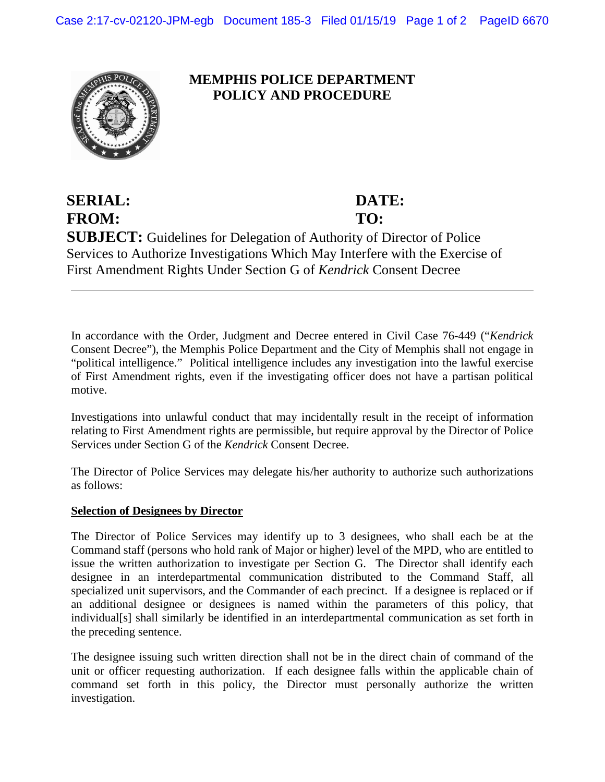

#### **MEMPHIS POLICE DEPARTMENT POLICY AND PROCEDURE**

**SERIAL: DATE: FROM: TO: SUBJECT:** Guidelines for Delegation of Authority of Director of Police Services to Authorize Investigations Which May Interfere with the Exercise of First Amendment Rights Under Section G of *Kendrick* Consent Decree

In accordance with the Order, Judgment and Decree entered in Civil Case 76-449 ("*Kendrick* Consent Decree"), the Memphis Police Department and the City of Memphis shall not engage in "political intelligence." Political intelligence includes any investigation into the lawful exercise of First Amendment rights, even if the investigating officer does not have a partisan political motive.

Investigations into unlawful conduct that may incidentally result in the receipt of information relating to First Amendment rights are permissible, but require approval by the Director of Police Services under Section G of the *Kendrick* Consent Decree.

The Director of Police Services may delegate his/her authority to authorize such authorizations as follows:

#### **Selection of Designees by Director**

The Director of Police Services may identify up to 3 designees, who shall each be at the Command staff (persons who hold rank of Major or higher) level of the MPD, who are entitled to issue the written authorization to investigate per Section G. The Director shall identify each designee in an interdepartmental communication distributed to the Command Staff, all specialized unit supervisors, and the Commander of each precinct. If a designee is replaced or if an additional designee or designees is named within the parameters of this policy, that individual[s] shall similarly be identified in an interdepartmental communication as set forth in the preceding sentence.

The designee issuing such written direction shall not be in the direct chain of command of the unit or officer requesting authorization. If each designee falls within the applicable chain of command set forth in this policy, the Director must personally authorize the written investigation.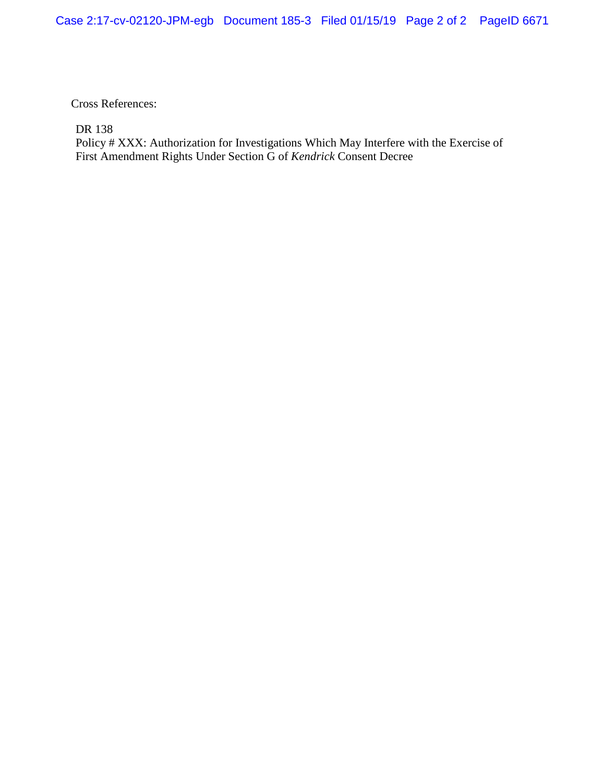Cross References:

DR 138

Policy # XXX: Authorization for Investigations Which May Interfere with the Exercise of First Amendment Rights Under Section G of *Kendrick* Consent Decree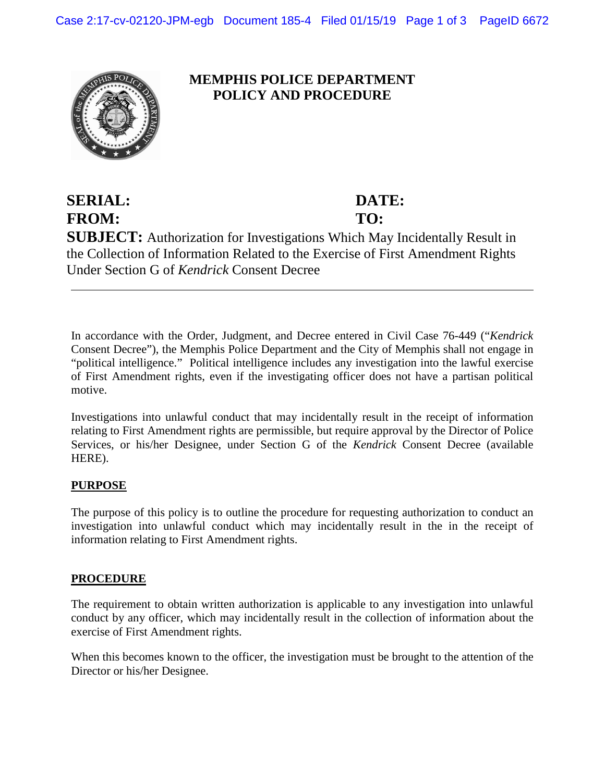

#### **MEMPHIS POLICE DEPARTMENT POLICY AND PROCEDURE**

#### **SERIAL: DATE: FROM: TO: SUBJECT:** Authorization for Investigations Which May Incidentally Result in the Collection of Information Related to the Exercise of First Amendment Rights Under Section G of *Kendrick* Consent Decree

In accordance with the Order, Judgment, and Decree entered in Civil Case 76-449 ("*Kendrick* Consent Decree"), the Memphis Police Department and the City of Memphis shall not engage in "political intelligence." Political intelligence includes any investigation into the lawful exercise of First Amendment rights, even if the investigating officer does not have a partisan political motive.

Investigations into unlawful conduct that may incidentally result in the receipt of information relating to First Amendment rights are permissible, but require approval by the Director of Police Services, or his/her Designee, under Section G of the *Kendrick* Consent Decree (available HERE).

#### **PURPOSE**

The purpose of this policy is to outline the procedure for requesting authorization to conduct an investigation into unlawful conduct which may incidentally result in the in the receipt of information relating to First Amendment rights.

#### **PROCEDURE**

The requirement to obtain written authorization is applicable to any investigation into unlawful conduct by any officer, which may incidentally result in the collection of information about the exercise of First Amendment rights.

When this becomes known to the officer, the investigation must be brought to the attention of the Director or his/her Designee.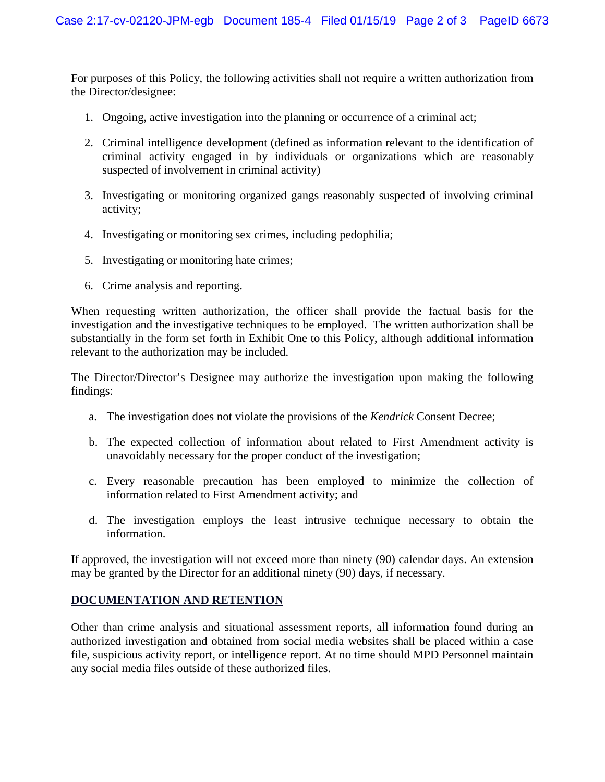For purposes of this Policy, the following activities shall not require a written authorization from the Director/designee:

- 1. Ongoing, active investigation into the planning or occurrence of a criminal act;
- 2. Criminal intelligence development (defined as information relevant to the identification of criminal activity engaged in by individuals or organizations which are reasonably suspected of involvement in criminal activity)
- 3. Investigating or monitoring organized gangs reasonably suspected of involving criminal activity;
- 4. Investigating or monitoring sex crimes, including pedophilia;
- 5. Investigating or monitoring hate crimes;
- 6. Crime analysis and reporting.

When requesting written authorization, the officer shall provide the factual basis for the investigation and the investigative techniques to be employed. The written authorization shall be substantially in the form set forth in Exhibit One to this Policy, although additional information relevant to the authorization may be included.

The Director/Director's Designee may authorize the investigation upon making the following findings:

- a. The investigation does not violate the provisions of the *Kendrick* Consent Decree;
- b. The expected collection of information about related to First Amendment activity is unavoidably necessary for the proper conduct of the investigation;
- c. Every reasonable precaution has been employed to minimize the collection of information related to First Amendment activity; and
- d. The investigation employs the least intrusive technique necessary to obtain the information.

If approved, the investigation will not exceed more than ninety (90) calendar days. An extension may be granted by the Director for an additional ninety (90) days, if necessary.

#### **DOCUMENTATION AND RETENTION**

Other than crime analysis and situational assessment reports, all information found during an authorized investigation and obtained from social media websites shall be placed within a case file, suspicious activity report, or intelligence report. At no time should MPD Personnel maintain any social media files outside of these authorized files.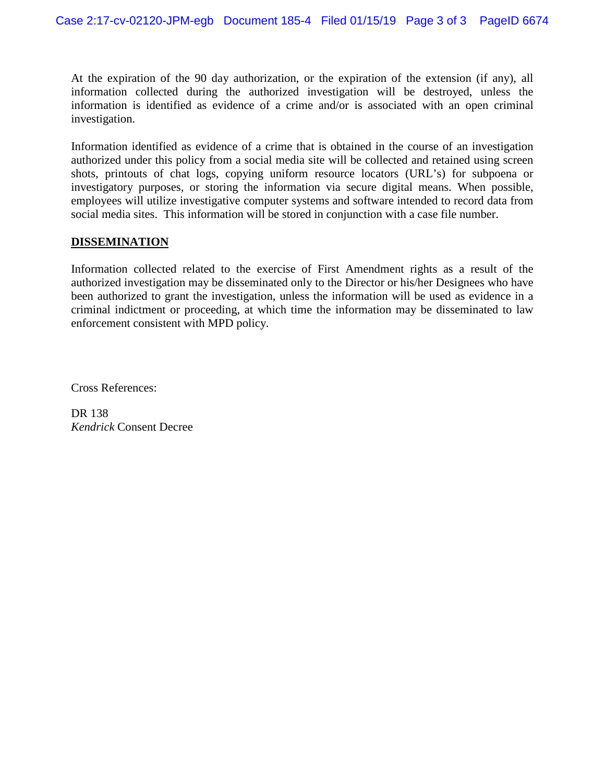At the expiration of the 90 day authorization, or the expiration of the extension (if any), all information collected during the authorized investigation will be destroyed, unless the information is identified as evidence of a crime and/or is associated with an open criminal investigation.

Information identified as evidence of a crime that is obtained in the course of an investigation authorized under this policy from a social media site will be collected and retained using screen shots, printouts of chat logs, copying uniform resource locators (URL's) for subpoena or investigatory purposes, or storing the information via secure digital means. When possible, employees will utilize investigative computer systems and software intended to record data from social media sites. This information will be stored in conjunction with a case file number.

#### **DISSEMINATION**

Information collected related to the exercise of First Amendment rights as a result of the authorized investigation may be disseminated only to the Director or his/her Designees who have been authorized to grant the investigation, unless the information will be used as evidence in a criminal indictment or proceeding, at which time the information may be disseminated to law enforcement consistent with MPD policy.

Cross References:

DR 138 *Kendrick* Consent Decree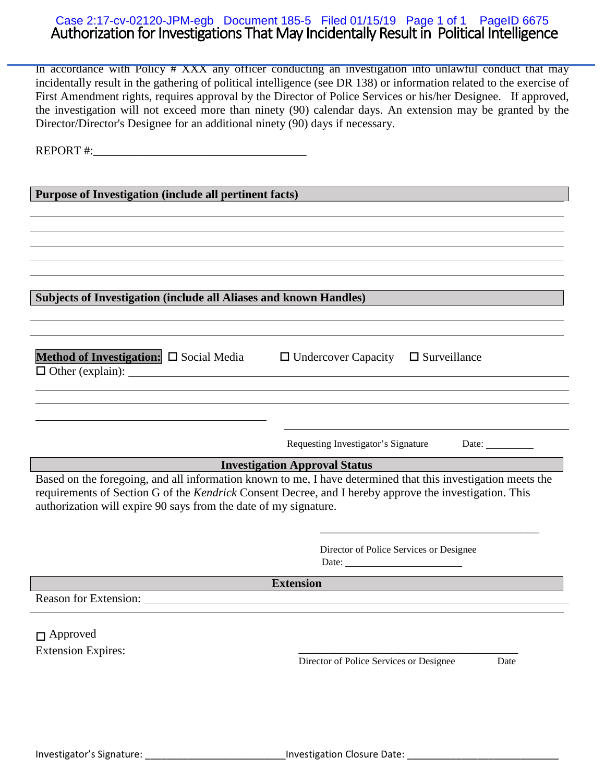#### Authorization for Investigations That May Incidentally Result in Political Intelligence Case 2:17-cv-02120-JPM-egb Document 185-5 Filed 01/15/19 Page 1 of 1 PageID 6675

In accordance with Policy # XXX any officer conducting an investigation into unlawful conduct that may incidentally result in the gathering of political intelligence (see DR 138) or information related to the exercise of First Amendment rights, requires approval by the Director of Police Services or his/her Designee. If approved, the investigation will not exceed more than ninety (90) calendar days. An extension may be granted by the Director/Director's Designee for an additional ninety (90) days if necessary.

REPORT #:

**Purpose of Investigation (include all pertinent facts)**

**Subjects of Investigation (include all Aliases and known Handles)**

| Method of Investigation: $\Box$ Social Media | $\Box$ Undercover Capacity $\Box$ Surveillance |  |
|----------------------------------------------|------------------------------------------------|--|
| $\Box$ Other (explain):                      |                                                |  |
|                                              |                                                |  |

Requesting Investigator's Signature Date: \_\_\_\_\_\_\_\_\_\_

\_\_\_\_\_\_\_\_\_\_\_\_\_\_\_\_\_\_\_\_\_\_\_\_\_\_\_\_\_\_\_\_\_\_\_\_\_

**Investigation Approval Status**

Based on the foregoing, and all information known to me, I have determined that this investigation meets the requirements of Section G of the *Kendrick* Consent Decree, and I hereby approve the investigation. This authorization will expire 90 says from the date of my signature.

> Director of Police Services or Designee Date:

**Extension**

Reason for Extension:

Approved

Extension Expires: <br>
Director of Police Services or Designee Date Director of Police Services or Designee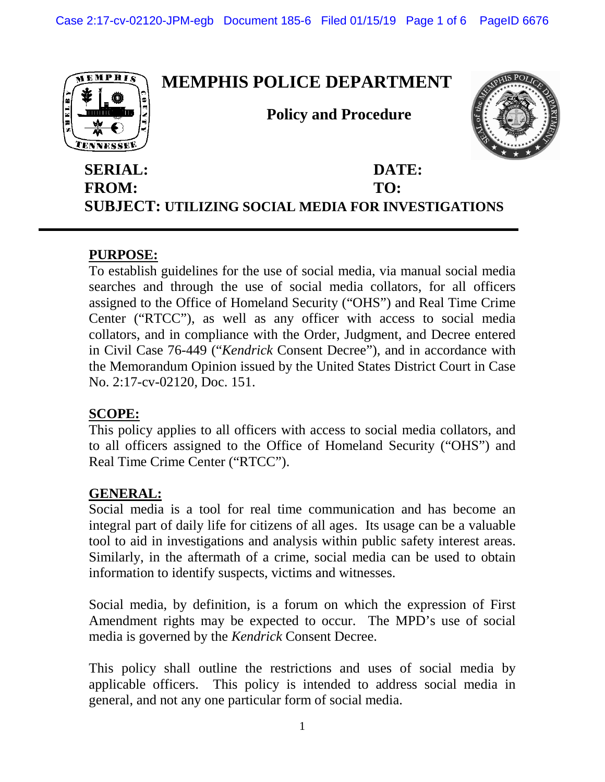

#### **SERIAL: DATE: FROM: TO: SUBJECT: UTILIZING SOCIAL MEDIA FOR INVESTIGATIONS**

#### **PURPOSE:**

To establish guidelines for the use of social media, via manual social media searches and through the use of social media collators, for all officers assigned to the Office of Homeland Security ("OHS") and Real Time Crime Center ("RTCC"), as well as any officer with access to social media collators, and in compliance with the Order, Judgment, and Decree entered in Civil Case 76-449 ("*Kendrick* Consent Decree"), and in accordance with the Memorandum Opinion issued by the United States District Court in Case No. 2:17-cv-02120, Doc. 151.

#### **SCOPE:**

This policy applies to all officers with access to social media collators, and to all officers assigned to the Office of Homeland Security ("OHS") and Real Time Crime Center ("RTCC").

#### **GENERAL:**

Social media is a tool for real time communication and has become an integral part of daily life for citizens of all ages. Its usage can be a valuable tool to aid in investigations and analysis within public safety interest areas. Similarly, in the aftermath of a crime, social media can be used to obtain information to identify suspects, victims and witnesses.

Social media, by definition, is a forum on which the expression of First Amendment rights may be expected to occur. The MPD's use of social media is governed by the *Kendrick* Consent Decree.

This policy shall outline the restrictions and uses of social media by applicable officers. This policy is intended to address social media in general, and not any one particular form of social media.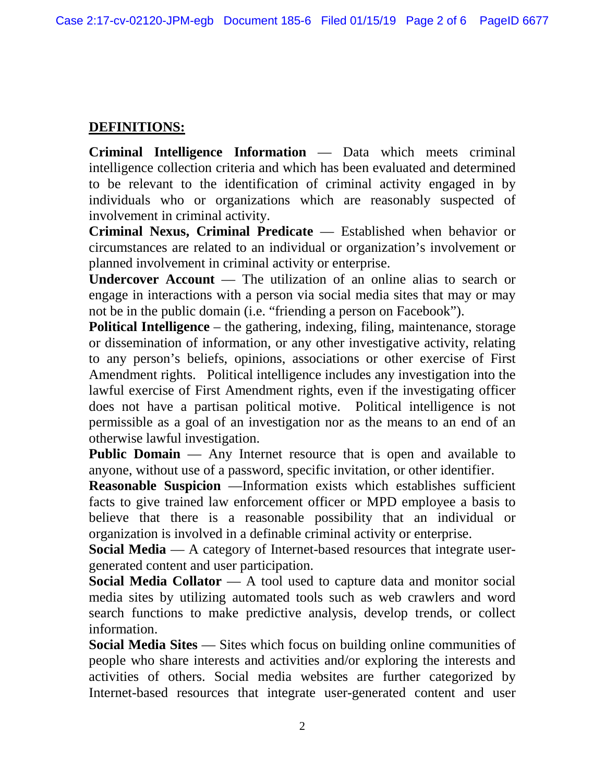#### **DEFINITIONS:**

**Criminal Intelligence Information** — Data which meets criminal intelligence collection criteria and which has been evaluated and determined to be relevant to the identification of criminal activity engaged in by individuals who or organizations which are reasonably suspected of involvement in criminal activity.

**Criminal Nexus, Criminal Predicate** — Established when behavior or circumstances are related to an individual or organization's involvement or planned involvement in criminal activity or enterprise.

**Undercover Account** — The utilization of an online alias to search or engage in interactions with a person via social media sites that may or may not be in the public domain (i.e. "friending a person on Facebook").

**Political Intelligence** – the gathering, indexing, filing, maintenance, storage or dissemination of information, or any other investigative activity, relating to any person's beliefs, opinions, associations or other exercise of First Amendment rights. Political intelligence includes any investigation into the lawful exercise of First Amendment rights, even if the investigating officer does not have a partisan political motive. Political intelligence is not permissible as a goal of an investigation nor as the means to an end of an otherwise lawful investigation.

**Public Domain** — Any Internet resource that is open and available to anyone, without use of a password, specific invitation, or other identifier.

**Reasonable Suspicion** —Information exists which establishes sufficient facts to give trained law enforcement officer or MPD employee a basis to believe that there is a reasonable possibility that an individual or organization is involved in a definable criminal activity or enterprise.

**Social Media** — A category of Internet-based resources that integrate usergenerated content and user participation.

**Social Media Collator** — A tool used to capture data and monitor social media sites by utilizing automated tools such as web crawlers and word search functions to make predictive analysis, develop trends, or collect information.

**Social Media Sites** — Sites which focus on building online communities of people who share interests and activities and/or exploring the interests and activities of others. Social media websites are further categorized by Internet-based resources that integrate user-generated content and user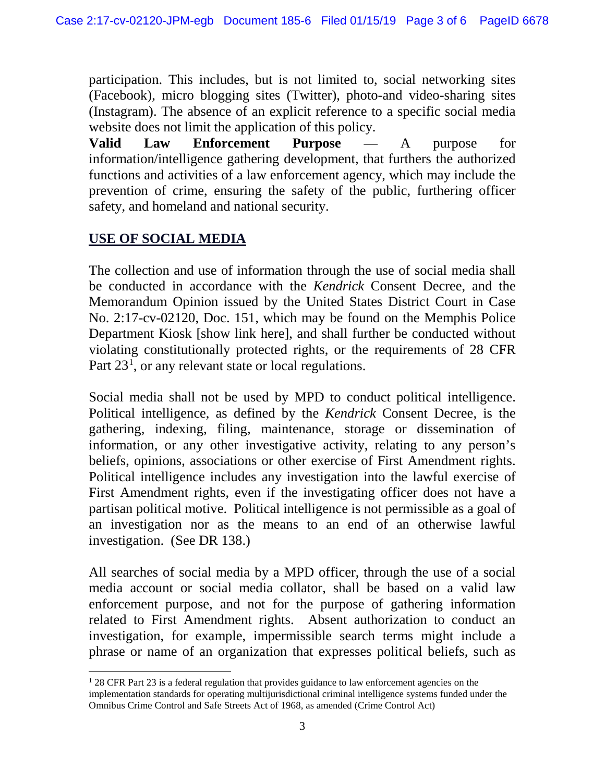participation. This includes, but is not limited to, social networking sites (Facebook), micro blogging sites (Twitter), photo-and video-sharing sites (Instagram). The absence of an explicit reference to a specific social media website does not limit the application of this policy.

**Valid Law Enforcement Purpose** — A purpose for information/intelligence gathering development, that furthers the authorized functions and activities of a law enforcement agency, which may include the prevention of crime, ensuring the safety of the public, furthering officer safety, and homeland and national security.

#### **USE OF SOCIAL MEDIA**

The collection and use of information through the use of social media shall be conducted in accordance with the *Kendrick* Consent Decree, and the Memorandum Opinion issued by the United States District Court in Case No. 2:17-cv-02120, Doc. 151, which may be found on the Memphis Police Department Kiosk [show link here], and shall further be conducted without violating constitutionally protected rights, or the requirements of 28 CFR Part 23<sup>[1](#page-12-0)</sup>, or any relevant state or local regulations.

Social media shall not be used by MPD to conduct political intelligence. Political intelligence, as defined by the *Kendrick* Consent Decree, is the gathering, indexing, filing, maintenance, storage or dissemination of information, or any other investigative activity, relating to any person's beliefs, opinions, associations or other exercise of First Amendment rights. Political intelligence includes any investigation into the lawful exercise of First Amendment rights, even if the investigating officer does not have a partisan political motive. Political intelligence is not permissible as a goal of an investigation nor as the means to an end of an otherwise lawful investigation. (See DR 138.)

All searches of social media by a MPD officer, through the use of a social media account or social media collator, shall be based on a valid law enforcement purpose, and not for the purpose of gathering information related to First Amendment rights. Absent authorization to conduct an investigation, for example, impermissible search terms might include a phrase or name of an organization that expresses political beliefs, such as

<span id="page-12-0"></span> $128$  CFR Part 23 is a federal regulation that provides guidance to law enforcement agencies on the implementation standards for operating multijurisdictional criminal intelligence systems funded under the Omnibus Crime Control and Safe Streets Act of 1968, as amended (Crime Control Act)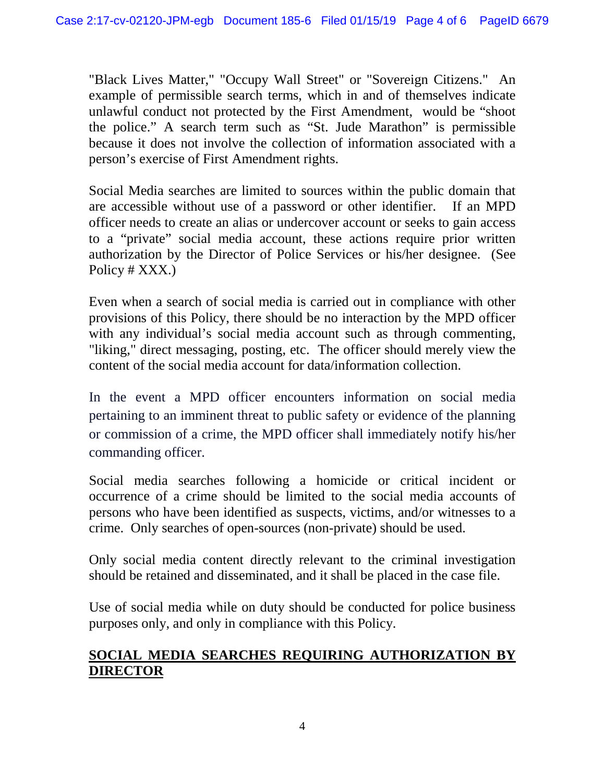"Black Lives Matter," "Occupy Wall Street" or "Sovereign Citizens." An example of permissible search terms, which in and of themselves indicate unlawful conduct not protected by the First Amendment, would be "shoot the police." A search term such as "St. Jude Marathon" is permissible because it does not involve the collection of information associated with a person's exercise of First Amendment rights.

Social Media searches are limited to sources within the public domain that are accessible without use of a password or other identifier. If an MPD officer needs to create an alias or undercover account or seeks to gain access to a "private" social media account, these actions require prior written authorization by the Director of Police Services or his/her designee. (See Policy # XXX.)

Even when a search of social media is carried out in compliance with other provisions of this Policy, there should be no interaction by the MPD officer with any individual's social media account such as through commenting, "liking," direct messaging, posting, etc. The officer should merely view the content of the social media account for data/information collection.

In the event a MPD officer encounters information on social media pertaining to an imminent threat to public safety or evidence of the planning or commission of a crime, the MPD officer shall immediately notify his/her commanding officer.

Social media searches following a homicide or critical incident or occurrence of a crime should be limited to the social media accounts of persons who have been identified as suspects, victims, and/or witnesses to a crime. Only searches of open-sources (non-private) should be used.

Only social media content directly relevant to the criminal investigation should be retained and disseminated, and it shall be placed in the case file.

Use of social media while on duty should be conducted for police business purposes only, and only in compliance with this Policy.

#### **SOCIAL MEDIA SEARCHES REQUIRING AUTHORIZATION BY DIRECTOR**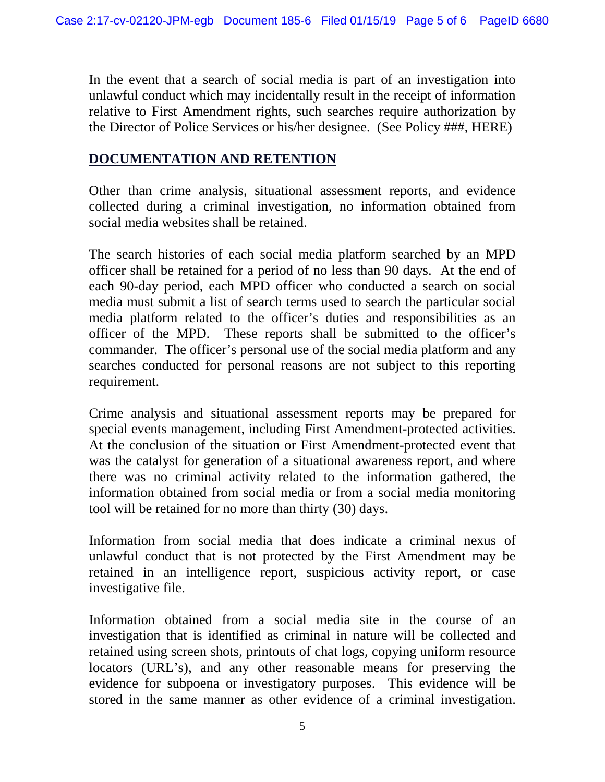In the event that a search of social media is part of an investigation into unlawful conduct which may incidentally result in the receipt of information relative to First Amendment rights, such searches require authorization by the Director of Police Services or his/her designee. (See Policy ###, HERE)

#### **DOCUMENTATION AND RETENTION**

Other than crime analysis, situational assessment reports, and evidence collected during a criminal investigation, no information obtained from social media websites shall be retained.

The search histories of each social media platform searched by an MPD officer shall be retained for a period of no less than 90 days. At the end of each 90-day period, each MPD officer who conducted a search on social media must submit a list of search terms used to search the particular social media platform related to the officer's duties and responsibilities as an officer of the MPD. These reports shall be submitted to the officer's commander. The officer's personal use of the social media platform and any searches conducted for personal reasons are not subject to this reporting requirement.

Crime analysis and situational assessment reports may be prepared for special events management, including First Amendment-protected activities. At the conclusion of the situation or First Amendment-protected event that was the catalyst for generation of a situational awareness report, and where there was no criminal activity related to the information gathered, the information obtained from social media or from a social media monitoring tool will be retained for no more than thirty (30) days.

Information from social media that does indicate a criminal nexus of unlawful conduct that is not protected by the First Amendment may be retained in an intelligence report, suspicious activity report, or case investigative file.

Information obtained from a social media site in the course of an investigation that is identified as criminal in nature will be collected and retained using screen shots, printouts of chat logs, copying uniform resource locators (URL's), and any other reasonable means for preserving the evidence for subpoena or investigatory purposes. This evidence will be stored in the same manner as other evidence of a criminal investigation.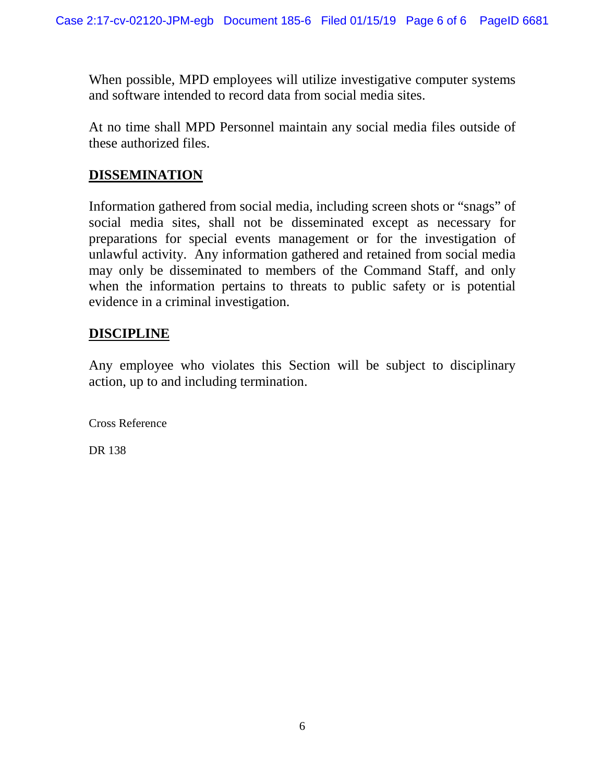When possible, MPD employees will utilize investigative computer systems and software intended to record data from social media sites.

At no time shall MPD Personnel maintain any social media files outside of these authorized files.

#### **DISSEMINATION**

Information gathered from social media, including screen shots or "snags" of social media sites, shall not be disseminated except as necessary for preparations for special events management or for the investigation of unlawful activity. Any information gathered and retained from social media may only be disseminated to members of the Command Staff, and only when the information pertains to threats to public safety or is potential evidence in a criminal investigation.

#### **DISCIPLINE**

Any employee who violates this Section will be subject to disciplinary action, up to and including termination.

Cross Reference

DR 138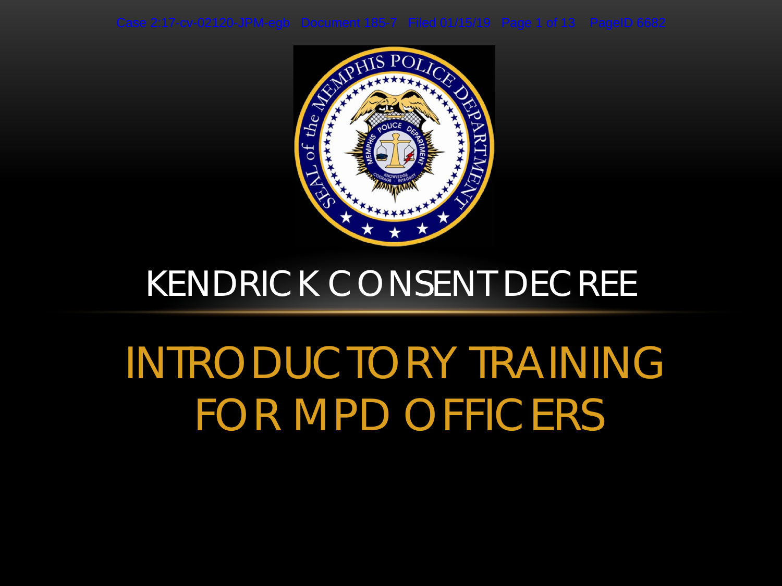

### *KENDRICK* CONSENT DECREE

# INTRODUCTORY TRAINING FOR MPD OFFICERS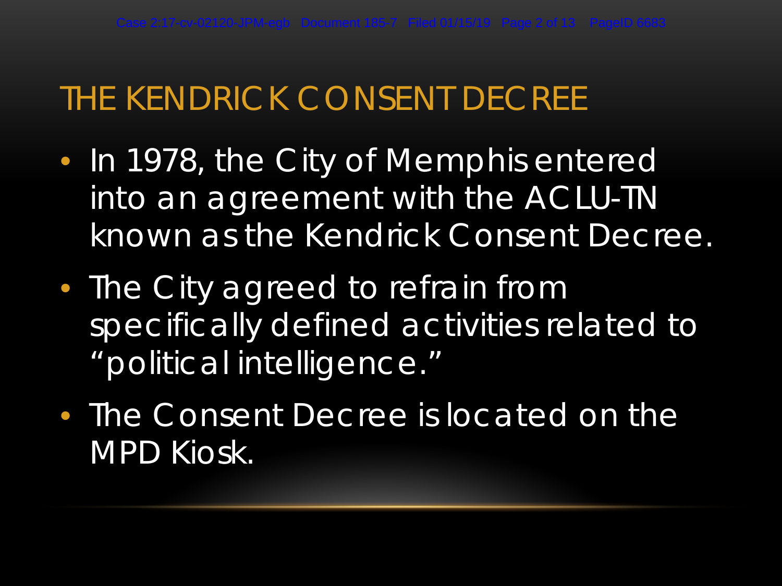### THE *KENDRICK* CONSENT DECREE

- In 1978, the City of Memphis entered into an agreement with the ACLU-TN known as the *Kendrick* Consent Decree.
- The City agreed to refrain from specifically defined activities related to "political intelligence."
- The Consent Decree is located on the MPD Kiosk.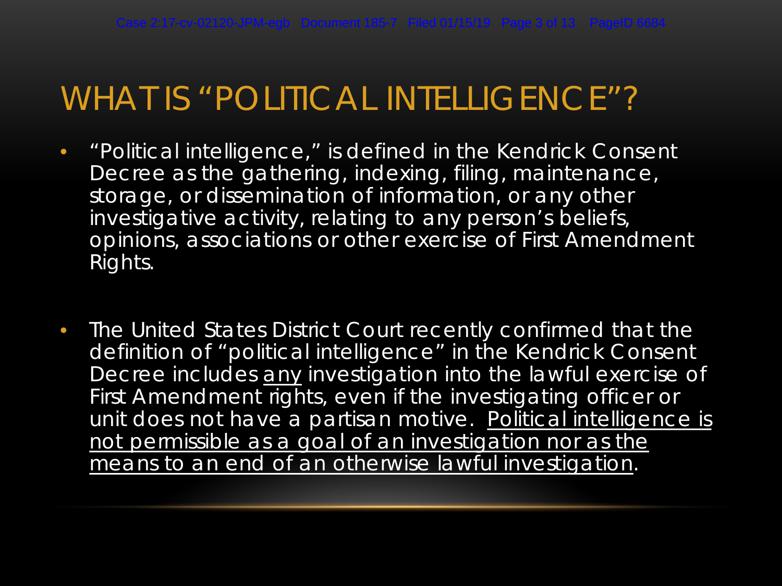### WHAT IS "POLITICAL INTELLIGENCE"?

- "Political intelligence," is defined in the *Kendrick* Consent Decree as the gathering, indexing, filing, maintenance, storage, or dissemination of information, or any other investigative activity, relating to any person's beliefs, opinions, associations or other exercise of First Amendment Rights.
- The United States District Court recently confirmed that the definition of "political intelligence" in the *Kendrick* Consent Decree includes any investigation into the lawful exercise of First Amendment rights, even if the investigating officer or unit does not have a partisan motive. Political intelligence is not permissible as a goal of an investigation nor as the means to an end of an otherwise lawful investigation.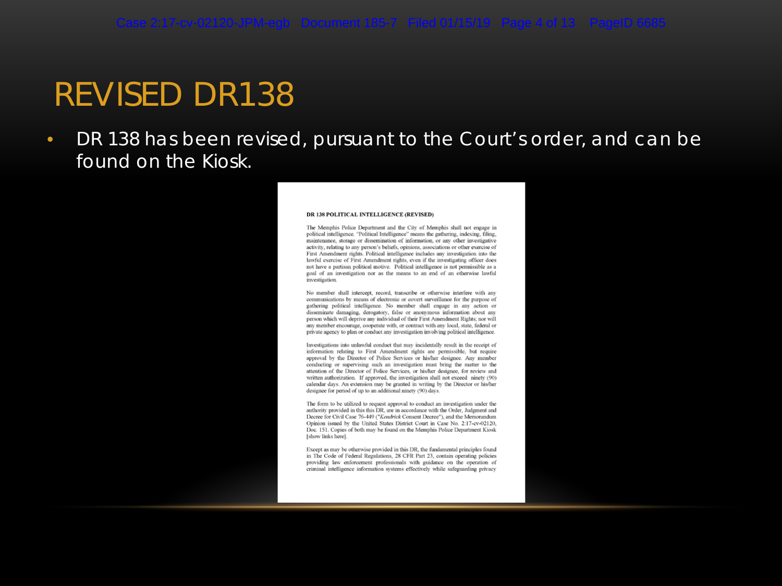### REVISED DR138

• DR 138 has been revised, pursuant to the Court's order, and can be found on the Kiosk.

#### DR 138 POLITICAL INTELLIGENCE (REVISED)

The Memphis Police Department and the City of Memphis shall not engage in political intelligence. "Political Intelligence" means the gathering, indexing, filing, maintenance, storage or dissemination of information, or any other investigative activity, relating to any person's beliefs, opinions, associations or other exercise of First Amendment rights. Political intelligence includes any investigation into the lawful exercise of First Amendment rights, even if the investigating officer does not have a partisan political motive. Political intelligence is not permissible as a goal of an investigation nor as the means to an end of an otherwise lawful investigation

No member shall intercept, record, transcribe or otherwise interfere with any communications by means of electronic or covert surveillance for the purpose of gathering political intelligence. No member shall engage in any action or disseminate damaging, derogatory, false or anonymous information about any person which will deprive any individual of their First Amendment Rights; nor will any member encourage, cooperate with, or contract with any local, state, federal or private agency to plan or conduct any investigation involving political intelligence.

Investigations into unlawful conduct that may incidentally result in the receipt of information relating to First Amendment rights are permissible, but require approval by the Director of Police Services or his/her designee. Any member conducting or supervising such an investigation must bring the matter to the attention of the Director of Police Services, or his/her designee, for review and written authorization. If approved, the investigation shall not exceed ninety (90) calendar days. An extension may be granted in writing by the Director or his/her designee for period of up to an additional ninety (90) days.

The form to be utilized to request approval to conduct an investigation under the authority provided in this this DR, are in accordance with the Order, Judgment and Decree for Civil Case 76-449 ("Kendrick Consent Decree"), and the Memorandum Opinion issued by the United States District Court in Case No. 2:17-cv-02120, Doc. 151. Copies of both may be found on the Memphis Police Department Kiosk [show links here].

Except as may be otherwise provided in this DR, the fundamental principles found in The Code of Federal Regulations, 28 CFR Part 23, contain operating policies providing law enforcement professionals with guidance on the operation of criminal intelligence information systems effectively while safeguarding privacy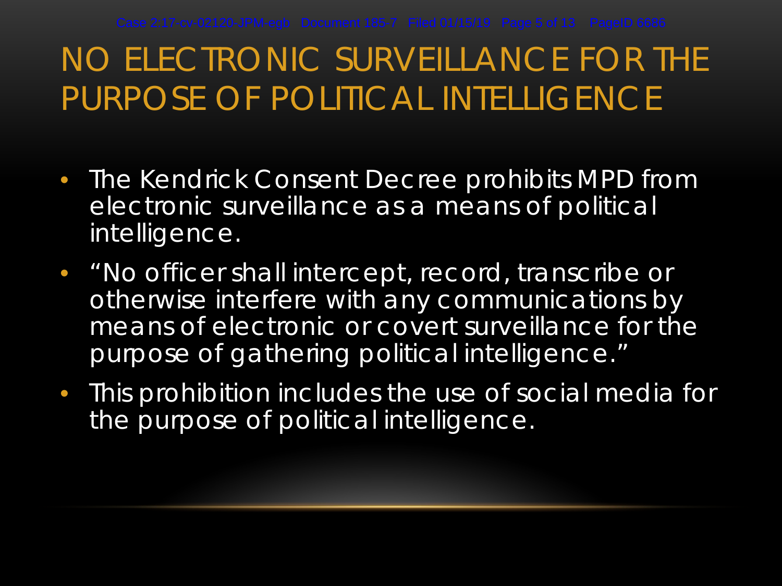## NO ELECTRONIC SURVEILLANCE FOR THE PURPOSE OF POLITICAL INTELLIGENCE

- The *Kendrick* Consent Decree prohibits MPD from electronic surveillance as a means of political intelligence.
- "No officer shall intercept, record, transcribe or otherwise interfere with any communications by means of electronic or covert surveillance for the purpose of gathering political intelligence."
- This prohibition includes the use of social media for the purpose of political intelligence.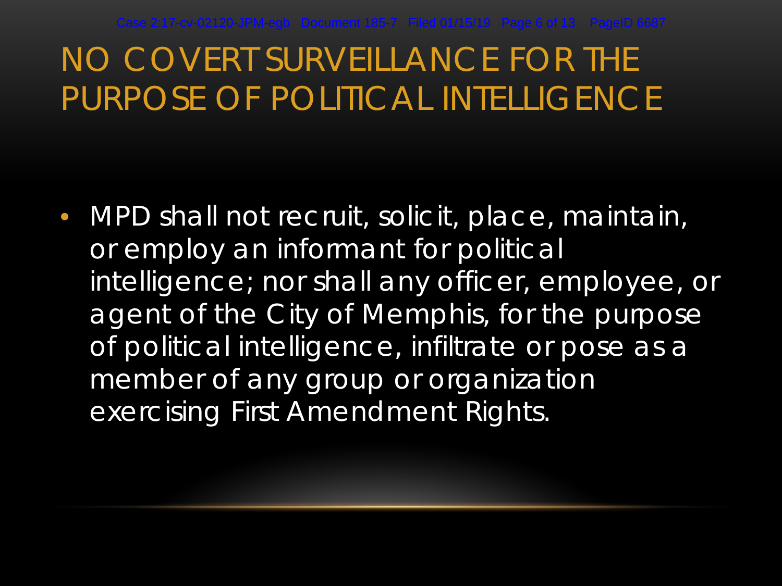### NO COVERT SURVEILLANCE FOR THE PURPOSE OF POLITICAL INTELLIGENCE

• MPD shall not recruit, solicit, place, maintain, or employ an informant for political intelligence; nor shall any officer, employee, or agent of the City of Memphis, for the purpose of political intelligence, infiltrate or pose as a member of any group or organization exercising First Amendment Rights.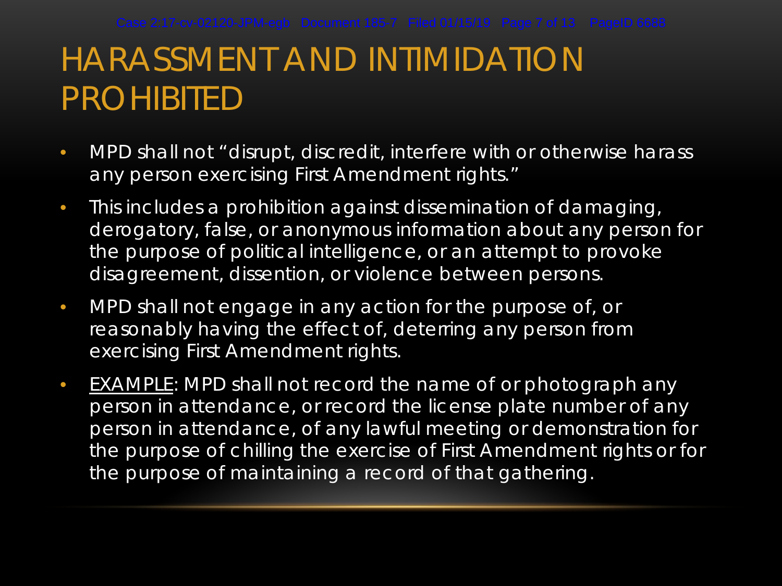## HARASSMENT AND INTIMIDATION PROHIBITED

- MPD shall not "disrupt, discredit, interfere with or otherwise harass any person exercising First Amendment rights."
- This includes a prohibition against dissemination of damaging, derogatory, false, or anonymous information about any person for the purpose of political intelligence, or an attempt to provoke disagreement, dissention, or violence between persons.
- MPD shall not engage in any action for the purpose of, or reasonably having the effect of, deterring any person from exercising First Amendment rights.
- EXAMPLE: MPD shall not record the name of or photograph any person in attendance, or record the license plate number of any person in attendance, of any lawful meeting or demonstration for the purpose of chilling the exercise of First Amendment rights or for the purpose of maintaining a record of that gathering.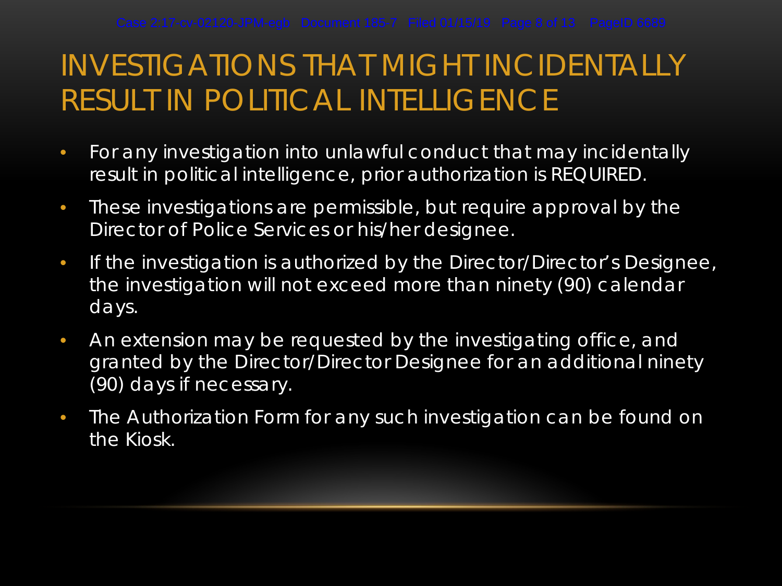### INVESTIGATIONS THAT MIGHT INCIDENTALLY RESULT IN POLITICAL INTELLIGENCE

- For any investigation into unlawful conduct that may incidentally result in political intelligence, prior authorization is REQUIRED.
- These investigations are permissible, but require approval by the Director of Police Services or his/her designee.
- If the investigation is authorized by the Director/Director's Designee, the investigation will not exceed more than ninety (90) calendar days.
- An extension may be requested by the investigating office, and granted by the Director/Director Designee for an additional ninety (90) days if necessary.
- The Authorization Form for any such investigation can be found on the Kiosk.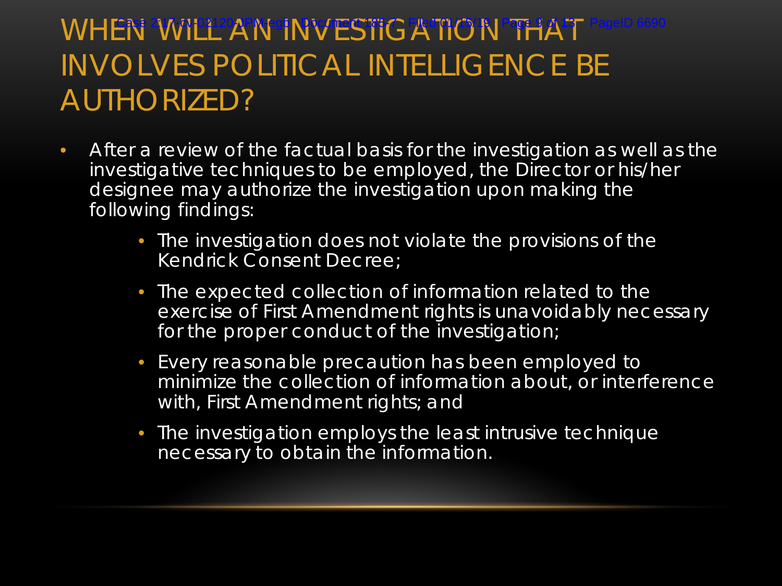### WHEN WILL AN INVESTIGATION PPHAT PageID 6690 INVOLVES POLITICAL INTELLIGENCE BE AUTHORIZED?

- After a review of the factual basis for the investigation as well as the investigative techniques to be employed, the Director or his/her designee may authorize the investigation upon making the following findings:
	- The investigation does not violate the provisions of the *Kendrick* Consent Decree;
	- The expected collection of information related to the exercise of First Amendment rights is unavoidably necessary for the proper conduct of the investigation;
	- Every reasonable precaution has been employed to minimize the collection of information about, or interference with, First Amendment rights; and
	- The investigation employs the least intrusive technique necessary to obtain the information.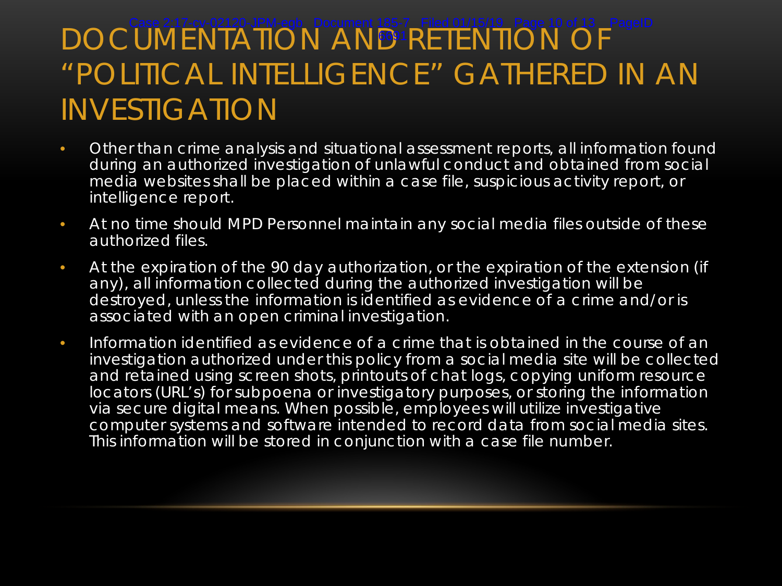#### DOCUMENTATION AND RETENTION OF "POLITICAL INTELLIGENCE" GATHERED IN AN INVESTIGATION Case 2:17-cv-02120-JPM-egb Document 185-7 Filed 01/15/19 Page 10 of 13 PageID 6691

- Other than crime analysis and situational assessment reports, all information found during an authorized investigation of unlawful conduct and obtained from social media websites shall be placed within a case file, suspicious activity report, or intelligence report.
- At no time should MPD Personnel maintain any social media files outside of these authorized files.
- At the expiration of the 90 day authorization, or the expiration of the extension (if any), all information collected during the authorized investigation will be destroyed, unless the information is identified as evidence of a crime and/or is associated with an open criminal investigation.
- Information identified as evidence of a crime that is obtained in the course of an investigation authorized under this policy from a social media site will be collected and retained using screen shots, printouts of chat logs, copying uniform resource locators (URL's) for subpoena or investigatory purposes, or storing the information via secure digital means. When possible, employees will utilize investigative computer systems and software intended to record data from social media sites. This information will be stored in conjunction with a case file number.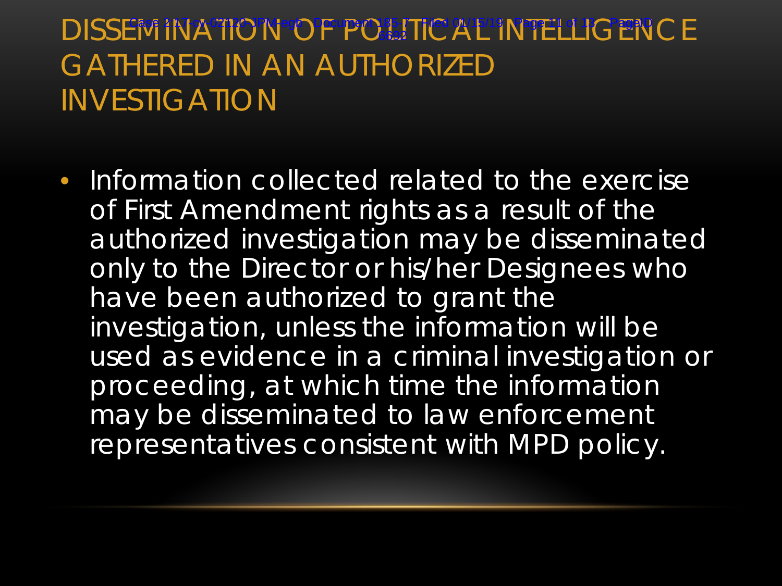### DISSEMINATION <sup>of P</sup>OPUP CHITE AT INTELLIGENCE GATHERED IN AN AUTHORIZED INVESTIGATION 6692

• Information collected related to the exercise of First Amendment rights as a result of the authorized investigation may be disseminated only to the Director or his/her Designees who have been authorized to grant the investigation, unless the information will be used as evidence in a criminal investigation or proceeding, at which time the information may be disseminated to law enforcement representatives consistent with MPD policy.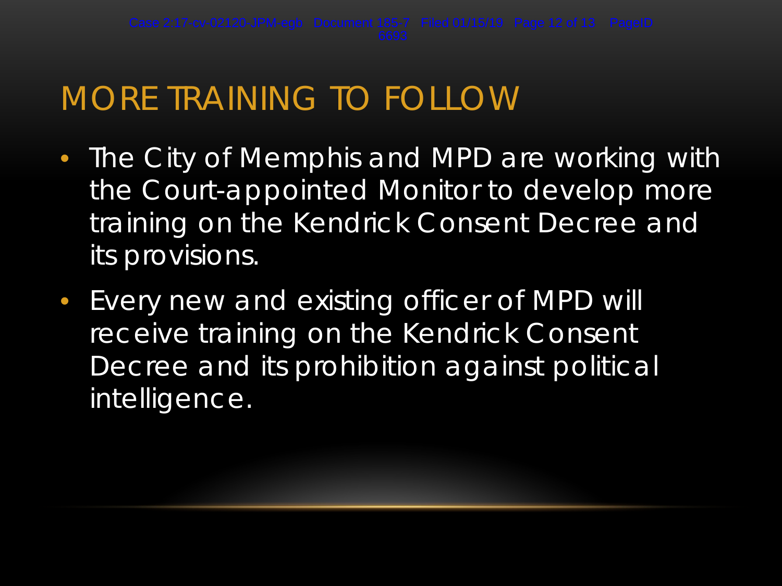### MORE TRAINING TO FOLLOW

- The City of Memphis and MPD are working with the Court-appointed Monitor to develop more training on the *Kendrick* Consent Decree and its provisions.
- Every new and existing officer of MPD will receive training on the *Kendrick* Consent Decree and its prohibition against political intelligence.